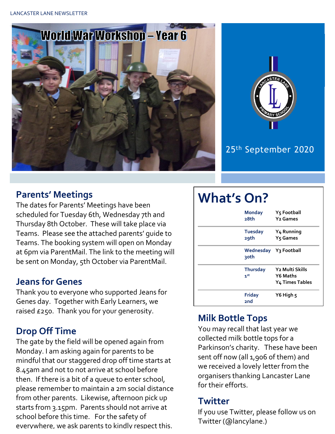



## 25th September 2020

#### **Parents' Meetings**

The dates for Parents' Meetings have been scheduled for Tuesday 6th, Wednesday 7th and Thursday 8th October. These will take place via Teams. Please see the attached parents' guide to Teams. The booking system will open on Monday at 6pm via ParentMail. The link to the meeting will be sent on Monday, 5th October via ParentMail.

#### **Jeans for Genes**

Thank you to everyone who supported Jeans for Genes day. Together with Early Learners, we raised £250. Thank you for your generosity.

## **Drop Off Time**

The gate by the field will be opened again from Monday. I am asking again for parents to be mindful that our staggered drop off time starts at 8.45am and not to not arrive at school before then. If there is a bit of a queue to enter school, please remember to maintain a 2m social distance from other parents. Likewise, afternoon pick up starts from 3.15pm. Parents should not arrive at school before this time. For the safety of everywhere, we ask parents to kindly respect this.

# **What's On?**

| <b>Monday</b><br>28th                       | Y5 Football<br>Y <sub>2</sub> Games                                           |
|---------------------------------------------|-------------------------------------------------------------------------------|
| <b>Tuesday</b><br>29th                      | Y <sub>4</sub> Running<br>Y <sub>5</sub> Games                                |
| Wednesday Y3 Football<br>२०th               |                                                                               |
| <b>Thursday</b><br>$\mathbf{1}^{\text{st}}$ | Y <sub>2</sub> Multi Skills<br><b>Y6 Maths</b><br>Y <sub>4</sub> Times Tables |
| <b>Friday</b><br>2nd                        | Y6 High 5                                                                     |

## **Milk Bottle Tops**

You may recall that last year we collected milk bottle tops for a Parkinson's charity. These have been sent off now (all 1,906 of them) and we received a lovely letter from the organisers thanking Lancaster Lane for their efforts.

## **Twitter**

If you use Twitter, please follow us on Twitter (@lancylane.)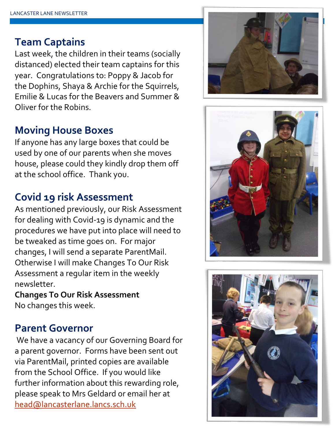## **Team Captains**

Last week, the children in their teams (socially distanced) elected their team captains for this year. Congratulations to: Poppy & Jacob for the Dophins, Shaya & Archie for the Squirrels, Emilie & Lucas for the Beavers and Summer & Oliver for the Robins.

## **Moving House Boxes**

If anyone has any large boxes that could be used by one of our parents when she moves house, please could they kindly drop them off at the school office. Thank you.

## **Covid 19 risk Assessment**

As mentioned previously, our Risk Assessment for dealing with Covid-19 is dynamic and the procedures we have put into place will need to be tweaked as time goes on. For major changes, I will send a separate ParentMail. Otherwise I will make Changes To Our Risk Assessment a regular item in the weekly newsletter.

**Changes To Our Risk Assessment** No changes this week.

## **Parent Governor**

We have a vacancy of our Governing Board for a parent governor. Forms have been sent out via ParentMail, printed copies are available from the School Office. If you would like further information about this rewarding role, please speak to Mrs Geldard or email her at [head@lancasterlane.lancs.sch.uk](mailto:head@lancasterlane.lancs.sch.uk)